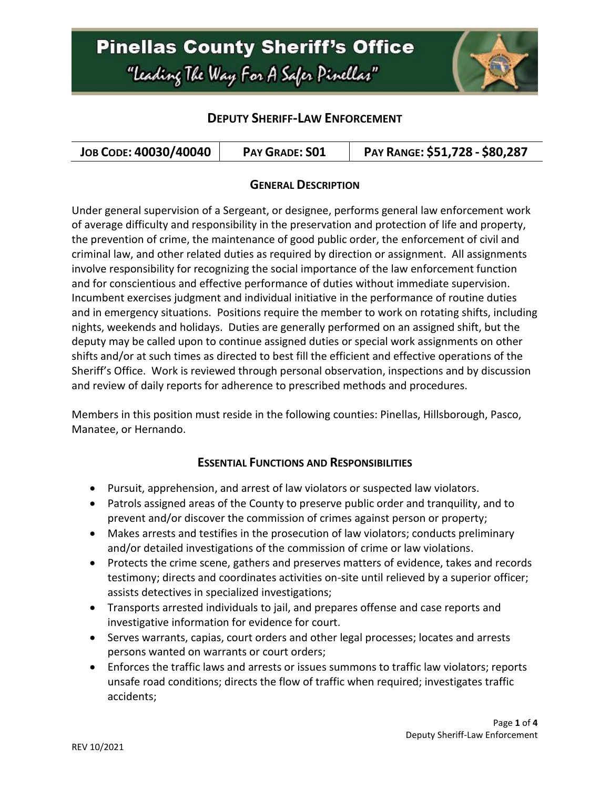

### **DEPUTY SHERIFF-LAW ENFORCEMENT**

| JOB CODE: 40030/40040 | PAY GRADE: SO1 | PAY RANGE: \$51,728 - \$80,287 |
|-----------------------|----------------|--------------------------------|
|-----------------------|----------------|--------------------------------|

#### **GENERAL DESCRIPTION**

Under general supervision of a Sergeant, or designee, performs general law enforcement work of average difficulty and responsibility in the preservation and protection of life and property, the prevention of crime, the maintenance of good public order, the enforcement of civil and criminal law, and other related duties as required by direction or assignment. All assignments involve responsibility for recognizing the social importance of the law enforcement function and for conscientious and effective performance of duties without immediate supervision. Incumbent exercises judgment and individual initiative in the performance of routine duties and in emergency situations. Positions require the member to work on rotating shifts, including nights, weekends and holidays. Duties are generally performed on an assigned shift, but the deputy may be called upon to continue assigned duties or special work assignments on other shifts and/or at such times as directed to best fill the efficient and effective operations of the Sheriff's Office. Work is reviewed through personal observation, inspections and by discussion and review of daily reports for adherence to prescribed methods and procedures.

Members in this position must reside in the following counties: Pinellas, Hillsborough, Pasco, Manatee, or Hernando.

#### **ESSENTIAL FUNCTIONS AND RESPONSIBILITIES**

- Pursuit, apprehension, and arrest of law violators or suspected law violators.
- Patrols assigned areas of the County to preserve public order and tranquility, and to prevent and/or discover the commission of crimes against person or property;
- Makes arrests and testifies in the prosecution of law violators; conducts preliminary and/or detailed investigations of the commission of crime or law violations.
- Protects the crime scene, gathers and preserves matters of evidence, takes and records testimony; directs and coordinates activities on-site until relieved by a superior officer; assists detectives in specialized investigations;
- Transports arrested individuals to jail, and prepares offense and case reports and investigative information for evidence for court.
- Serves warrants, capias, court orders and other legal processes; locates and arrests persons wanted on warrants or court orders;
- Enforces the traffic laws and arrests or issues summons to traffic law violators; reports unsafe road conditions; directs the flow of traffic when required; investigates traffic accidents;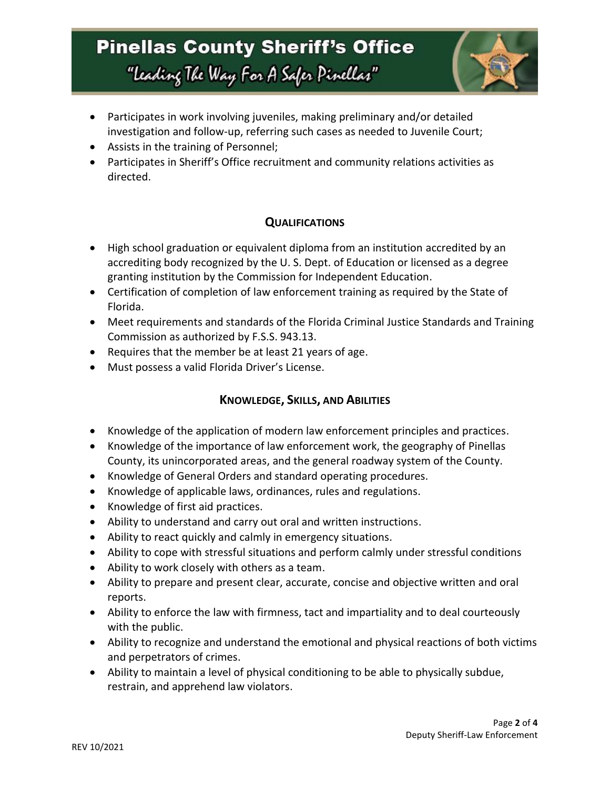

- Participates in work involving juveniles, making preliminary and/or detailed investigation and follow-up, referring such cases as needed to Juvenile Court;
- Assists in the training of Personnel;
- Participates in Sheriff's Office recruitment and community relations activities as directed.

#### **QUALIFICATIONS**

- High school graduation or equivalent diploma from an institution accredited by an accrediting body recognized by the U. S. Dept. of Education or licensed as a degree granting institution by the Commission for Independent Education.
- Certification of completion of law enforcement training as required by the State of Florida.
- Meet requirements and standards of the Florida Criminal Justice Standards and Training Commission as authorized by F.S.S. 943.13.
- Requires that the member be at least 21 years of age.
- Must possess a valid Florida Driver's License.

#### **KNOWLEDGE, SKILLS, AND ABILITIES**

- Knowledge of the application of modern law enforcement principles and practices.
- Knowledge of the importance of law enforcement work, the geography of Pinellas County, its unincorporated areas, and the general roadway system of the County.
- Knowledge of General Orders and standard operating procedures.
- Knowledge of applicable laws, ordinances, rules and regulations.
- Knowledge of first aid practices.
- Ability to understand and carry out oral and written instructions.
- Ability to react quickly and calmly in emergency situations.
- Ability to cope with stressful situations and perform calmly under stressful conditions
- Ability to work closely with others as a team.
- Ability to prepare and present clear, accurate, concise and objective written and oral reports.
- Ability to enforce the law with firmness, tact and impartiality and to deal courteously with the public.
- Ability to recognize and understand the emotional and physical reactions of both victims and perpetrators of crimes.
- Ability to maintain a level of physical conditioning to be able to physically subdue, restrain, and apprehend law violators.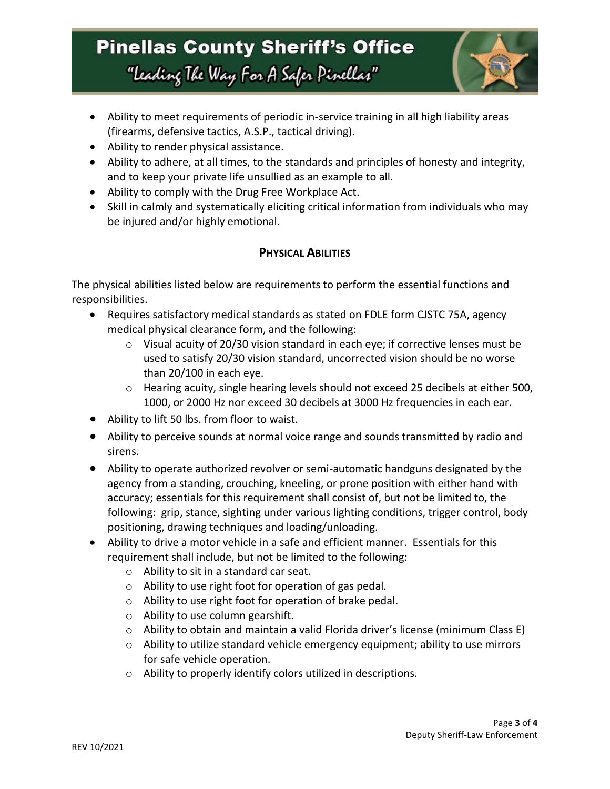

- Ability to meet requirements of periodic in-service training in all high liability areas (firearms, defensive tactics, A.S.P., tactical driving).
- Ability to render physical assistance.
- Ability to adhere, at all times, to the standards and principles of honesty and integrity, and to keep your private life unsullied as an example to all.
- Ability to comply with the Drug Free Workplace Act.
- Skill in calmly and systematically eliciting critical information from individuals who may be injured and/or highly emotional.

### **PHYSICAL ABILITIES**

The physical abilities listed below are requirements to perform the essential functions and responsibilities.

- Requires satisfactory medical standards as stated on FDLE form CJSTC 75A, agency medical physical clearance form, and the following:
	- $\circ$  Visual acuity of 20/30 vision standard in each eye; if corrective lenses must be used to satisfy 20/30 vision standard, uncorrected vision should be no worse than 20/100 in each eye.
	- $\circ$  Hearing acuity, single hearing levels should not exceed 25 decibels at either 500, 1000, or 2000 Hz nor exceed 30 decibels at 3000 Hz frequencies in each ear.
- Ability to lift 50 lbs. from floor to waist.
- Ability to perceive sounds at normal voice range and sounds transmitted by radio and sirens.
- Ability to operate authorized revolver or semi-automatic handguns designated by the agency from a standing, crouching, kneeling, or prone position with either hand with accuracy; essentials for this requirement shall consist of, but not be limited to, the following: grip, stance, sighting under various lighting conditions, trigger control, body positioning, drawing techniques and loading/unloading.
- Ability to drive a motor vehicle in a safe and efficient manner. Essentials for this requirement shall include, but not be limited to the following:
	- o Ability to sit in a standard car seat.
	- o Ability to use right foot for operation of gas pedal.
	- o Ability to use right foot for operation of brake pedal.
	- o Ability to use column gearshift.
	- o Ability to obtain and maintain a valid Florida driver's license (minimum Class E)
	- $\circ$  Ability to utilize standard vehicle emergency equipment; ability to use mirrors for safe vehicle operation.
	- o Ability to properly identify colors utilized in descriptions.